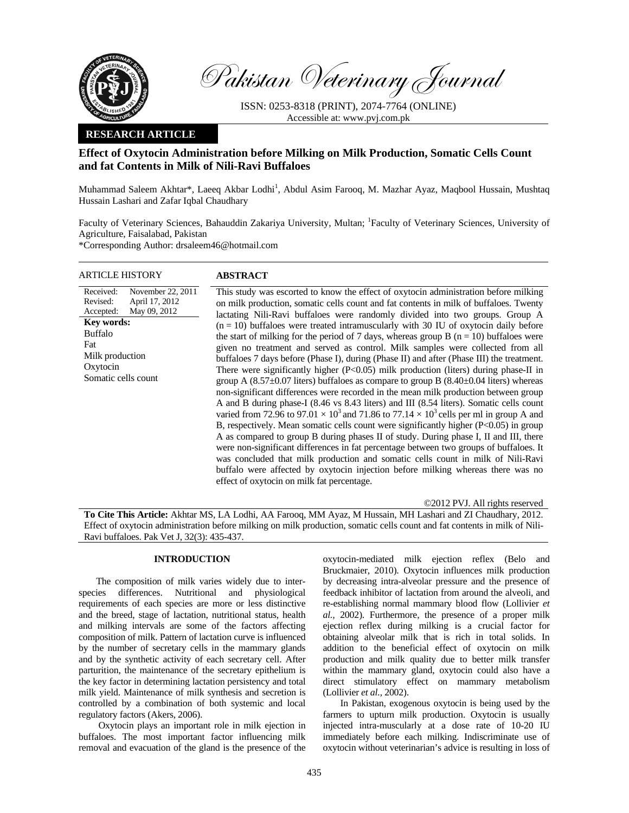

Pakistan Veterinary Journal

ISSN: 0253-8318 (PRINT), 2074-7764 (ONLINE) Accessible at: www.pvj.com.pk

## **RESEARCH ARTICLE**

# **Effect of Oxytocin Administration before Milking on Milk Production, Somatic Cells Count and fat Contents in Milk of Nili-Ravi Buffaloes**

Muhammad Saleem Akhtar\*, Laeeq Akbar Lodhi<sup>1</sup>, Abdul Asim Farooq, M. Mazhar Ayaz, Maqbool Hussain, Mushtaq Hussain Lashari and Zafar Iqbal Chaudhary

Faculty of Veterinary Sciences, Bahauddin Zakariya University, Multan; <sup>1</sup>Faculty of Veterinary Sciences, University of Agriculture, Faisalabad, Pakistan

\*Corresponding Author: drsaleem46@hotmail.com

| ARTICLE HISTORY                                                                                                                                                                               | <b>ABSTRACT</b>                                                                                                                                                                                                                                                                                                                                                                                                                                                                                                                                                                                                                                                                                                                                                                                                                                                                                                                                                                                                                                                                                                                                                                                                                                                                                                                                                                                                                                                                                                                                                                                                                                       |
|-----------------------------------------------------------------------------------------------------------------------------------------------------------------------------------------------|-------------------------------------------------------------------------------------------------------------------------------------------------------------------------------------------------------------------------------------------------------------------------------------------------------------------------------------------------------------------------------------------------------------------------------------------------------------------------------------------------------------------------------------------------------------------------------------------------------------------------------------------------------------------------------------------------------------------------------------------------------------------------------------------------------------------------------------------------------------------------------------------------------------------------------------------------------------------------------------------------------------------------------------------------------------------------------------------------------------------------------------------------------------------------------------------------------------------------------------------------------------------------------------------------------------------------------------------------------------------------------------------------------------------------------------------------------------------------------------------------------------------------------------------------------------------------------------------------------------------------------------------------------|
| November 22, 2011<br>Received:<br>Revised:<br>April 17, 2012<br>May 09, 2012<br>Accepted:<br><b>Key words:</b><br><b>Buffalo</b><br>Fat<br>Milk production<br>Oxytocin<br>Somatic cells count | This study was escorted to know the effect of oxytocin administration before milking<br>on milk production, somatic cells count and fat contents in milk of buffaloes. Twenty<br>lactating Nili-Ravi buffaloes were randomly divided into two groups. Group A<br>$(n = 10)$ buffaloes were treated intramuscularly with 30 IU of oxytocin daily before<br>the start of milking for the period of 7 days, whereas group B $(n = 10)$ buffaloes were<br>given no treatment and served as control. Milk samples were collected from all<br>buffaloes 7 days before (Phase I), during (Phase II) and after (Phase III) the treatment.<br>There were significantly higher ( $P<0.05$ ) milk production (liters) during phase-II in<br>group A (8.57 $\pm$ 0.07 liters) buffaloes as compare to group B (8.40 $\pm$ 0.04 liters) whereas<br>non-significant differences were recorded in the mean milk production between group<br>A and B during phase-I (8.46 vs 8.43 liters) and III (8.54 liters). Somatic cells count<br>varied from 72.96 to 97.01 $\times$ 10 <sup>3</sup> and 71.86 to 77.14 $\times$ 10 <sup>3</sup> cells per ml in group A and<br>B, respectively. Mean somatic cells count were significantly higher $(P<0.05)$ in group<br>A as compared to group B during phases II of study. During phase I, II and III, there<br>were non-significant differences in fat percentage between two groups of buffaloes. It<br>was concluded that milk production and somatic cells count in milk of Nili-Ravi<br>buffalo were affected by oxytocin injection before milking whereas there was no<br>effect of oxytocin on milk fat percentage. |
|                                                                                                                                                                                               |                                                                                                                                                                                                                                                                                                                                                                                                                                                                                                                                                                                                                                                                                                                                                                                                                                                                                                                                                                                                                                                                                                                                                                                                                                                                                                                                                                                                                                                                                                                                                                                                                                                       |

©2012 PVJ. All rights reserved

**To Cite This Article:** Akhtar MS, LA Lodhi, AA Farooq, MM Ayaz, M Hussain, MH Lashari and ZI Chaudhary, 2012. Effect of oxytocin administration before milking on milk production, somatic cells count and fat contents in milk of Nili-Ravi buffaloes. Pak Vet J, 32(3): 435-437.

# **INTRODUCTION**

The composition of milk varies widely due to interspecies differences. Nutritional and physiological requirements of each species are more or less distinctive and the breed, stage of lactation, nutritional status, health and milking intervals are some of the factors affecting composition of milk. Pattern of lactation curve is influenced by the number of secretary cells in the mammary glands and by the synthetic activity of each secretary cell. After parturition, the maintenance of the secretary epithelium is the key factor in determining lactation persistency and total milk yield. Maintenance of milk synthesis and secretion is controlled by a combination of both systemic and local regulatory factors (Akers, 2006).

 Oxytocin plays an important role in milk ejection in buffaloes. The most important factor influencing milk removal and evacuation of the gland is the presence of the

oxytocin-mediated milk ejection reflex (Belo and Bruckmaier, 2010). Oxytocin influences milk production by decreasing intra-alveolar pressure and the presence of feedback inhibitor of lactation from around the alveoli, and re-establishing normal mammary blood flow (Lollivier *et al.,* 2002). Furthermore, the presence of a proper milk ejection reflex during milking is a crucial factor for obtaining alveolar milk that is rich in total solids. In addition to the beneficial effect of oxytocin on milk production and milk quality due to better milk transfer within the mammary gland, oxytocin could also have a direct stimulatory effect on mammary metabolism (Lollivier *et al.,* 2002).

In Pakistan, exogenous oxytocin is being used by the farmers to upturn milk production. Oxytocin is usually injected intra-muscularly at a dose rate of 10-20 IU immediately before each milking. Indiscriminate use of oxytocin without veterinarian's advice is resulting in loss of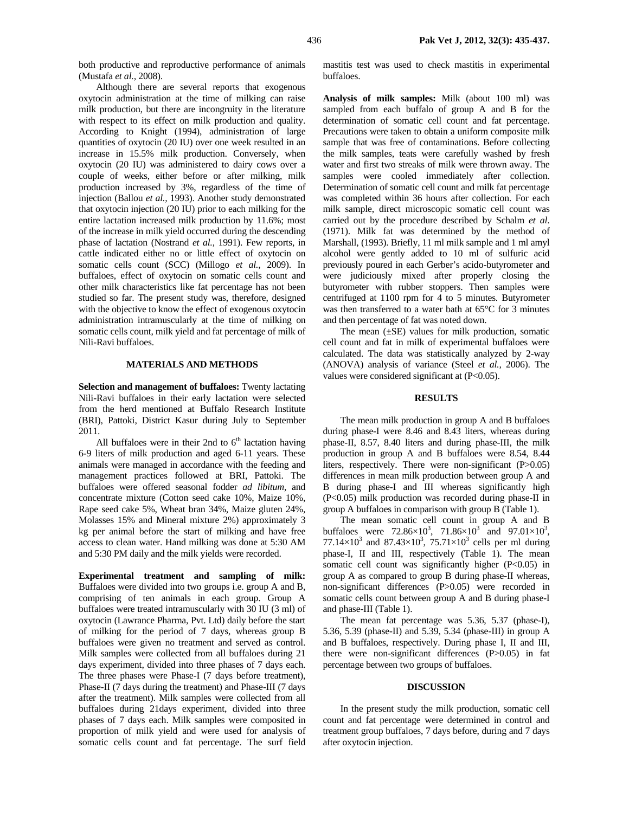both productive and reproductive performance of animals (Mustafa *et al.,* 2008).

Although there are several reports that exogenous oxytocin administration at the time of milking can raise milk production, but there are incongruity in the literature with respect to its effect on milk production and quality. According to Knight (1994), administration of large quantities of oxytocin (20 IU) over one week resulted in an increase in 15.5% milk production. Conversely, when oxytocin (20 IU) was administered to dairy cows over a couple of weeks, either before or after milking, milk production increased by 3%, regardless of the time of injection (Ballou *et al.,* 1993). Another study demonstrated that oxytocin injection (20 IU) prior to each milking for the entire lactation increased milk production by 11.6%; most of the increase in milk yield occurred during the descending phase of lactation (Nostrand *et al.,* 1991). Few reports, in cattle indicated either no or little effect of oxytocin on somatic cells count (SCC) (Millogo *et al.,* 2009). In buffaloes, effect of oxytocin on somatic cells count and other milk characteristics like fat percentage has not been studied so far. The present study was, therefore, designed with the objective to know the effect of exogenous oxytocin administration intramuscularly at the time of milking on somatic cells count, milk yield and fat percentage of milk of Nili-Ravi buffaloes.

## **MATERIALS AND METHODS**

**Selection and management of buffaloes:** Twenty lactating Nili-Ravi buffaloes in their early lactation were selected from the herd mentioned at Buffalo Research Institute (BRI), Pattoki, District Kasur during July to September 2011.

All buffaloes were in their 2nd to  $6<sup>th</sup>$  lactation having 6-9 liters of milk production and aged 6-11 years. These animals were managed in accordance with the feeding and management practices followed at BRI, Pattoki. The buffaloes were offered seasonal fodder *ad libitum*, and concentrate mixture (Cotton seed cake 10%, Maize 10%, Rape seed cake 5%, Wheat bran 34%, Maize gluten 24%, Molasses 15% and Mineral mixture 2%) approximately 3 kg per animal before the start of milking and have free access to clean water. Hand milking was done at 5:30 AM and 5:30 PM daily and the milk yields were recorded.

**Experimental treatment and sampling of milk:**  Buffaloes were divided into two groups i.e. group A and B, comprising of ten animals in each group. Group A buffaloes were treated intramuscularly with 30 IU (3 ml) of oxytocin (Lawrance Pharma, Pvt. Ltd) daily before the start of milking for the period of 7 days, whereas group B buffaloes were given no treatment and served as control. Milk samples were collected from all buffaloes during 21 days experiment, divided into three phases of 7 days each. The three phases were Phase-I (7 days before treatment), Phase-II (7 days during the treatment) and Phase-III (7 days after the treatment). Milk samples were collected from all buffaloes during 21days experiment, divided into three phases of 7 days each. Milk samples were composited in proportion of milk yield and were used for analysis of somatic cells count and fat percentage. The surf field mastitis test was used to check mastitis in experimental buffaloes.

**Analysis of milk samples:** Milk (about 100 ml) was sampled from each buffalo of group A and B for the determination of somatic cell count and fat percentage. Precautions were taken to obtain a uniform composite milk sample that was free of contaminations. Before collecting the milk samples, teats were carefully washed by fresh water and first two streaks of milk were thrown away. The samples were cooled immediately after collection. Determination of somatic cell count and milk fat percentage was completed within 36 hours after collection. For each milk sample, direct microscopic somatic cell count was carried out by the procedure described by Schalm *et al*. (1971). Milk fat was determined by the method of Marshall, (1993). Briefly, 11 ml milk sample and 1 ml amyl alcohol were gently added to 10 ml of sulfuric acid previously poured in each Gerber's acido-butyrometer and were judiciously mixed after properly closing the butyrometer with rubber stoppers. Then samples were centrifuged at 1100 rpm for 4 to 5 minutes. Butyrometer was then transferred to a water bath at 65°C for 3 minutes and then percentage of fat was noted down.

The mean  $(\pm SE)$  values for milk production, somatic cell count and fat in milk of experimental buffaloes were calculated. The data was statistically analyzed by 2-way (ANOVA) analysis of variance (Steel *et al.,* 2006). The values were considered significant at (P<0.05).

## **RESULTS**

The mean milk production in group A and B buffaloes during phase-I were 8.46 and 8.43 liters, whereas during phase-II, 8.57, 8.40 liters and during phase-III, the milk production in group A and B buffaloes were 8.54, 8.44 liters, respectively. There were non-significant (P>0.05) differences in mean milk production between group A and B during phase-I and III whereas significantly high (P<0.05) milk production was recorded during phase-II in group A buffaloes in comparison with group B (Table 1).

The mean somatic cell count in group A and B buffaloes were  $72.86 \times 10^3$ ,  $71.86 \times 10^3$  and  $97.01 \times 10^3$ , 77.14 $\times$ 10<sup>3</sup> and 87.43 $\times$ 10<sup>3</sup>, 75.71 $\times$ 10<sup>3</sup> cells per ml during phase-I, II and III, respectively (Table 1). The mean somatic cell count was significantly higher (P<0.05) in group A as compared to group B during phase-II whereas, non-significant differences (P>0.05) were recorded in somatic cells count between group A and B during phase-I and phase-III (Table 1).

The mean fat percentage was 5.36, 5.37 (phase-I), 5.36, 5.39 (phase-II) and 5.39, 5.34 (phase-III) in group A and B buffaloes, respectively. During phase I, II and III, there were non-significant differences (P>0.05) in fat percentage between two groups of buffaloes.

### **DISCUSSION**

In the present study the milk production, somatic cell count and fat percentage were determined in control and treatment group buffaloes, 7 days before, during and 7 days after oxytocin injection.